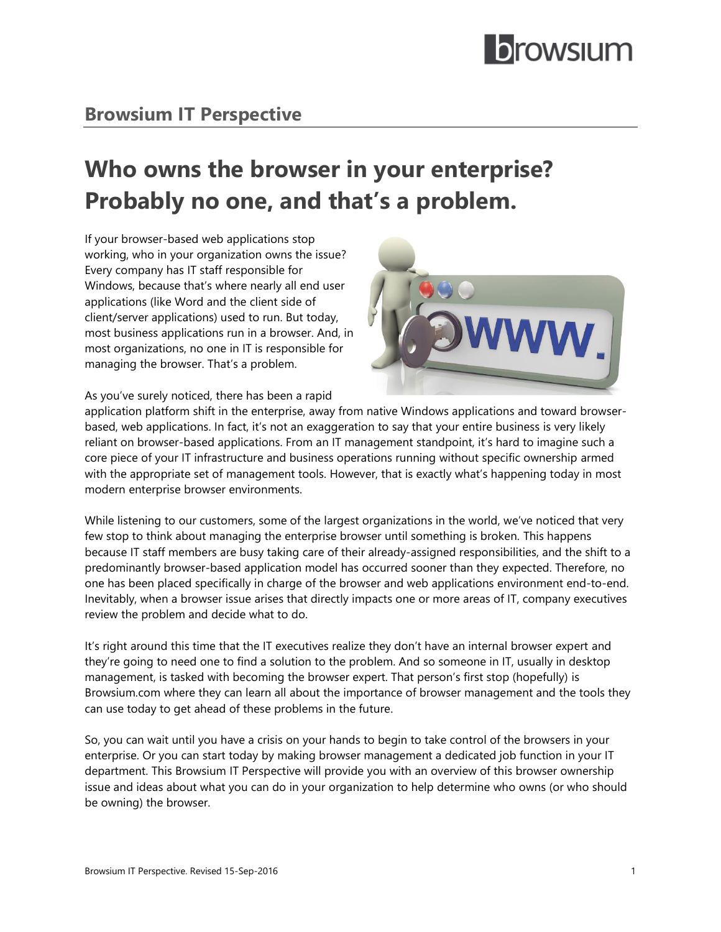# **Browsium IT Perspective**

# **Who owns the browser in your enterprise? Probably no one, and that's a problem.**

If your browser-based web applications stop working, who in your organization owns the issue? Every company has IT staff responsible for Windows, because that's where nearly all end user applications (like Word and the client side of client/server applications) used to run. But today, most business applications run in a browser. And, in most organizations, no one in IT is responsible for managing the browser. That's a problem.



As you've surely noticed, there has been a rapid

application platform shift in the enterprise, away from native Windows applications and toward browserbased, web applications. In fact, it's not an exaggeration to say that your entire business is very likely reliant on browser-based applications. From an IT management standpoint, it's hard to imagine such a core piece of your IT infrastructure and business operations running without specific ownership armed with the appropriate set of management tools. However, that is exactly what's happening today in most modern enterprise browser environments.

While listening to our customers, some of the largest organizations in the world, we've noticed that very few stop to think about managing the enterprise browser until something is broken. This happens because IT staff members are busy taking care of their already-assigned responsibilities, and the shift to a predominantly browser-based application model has occurred sooner than they expected. Therefore, no one has been placed specifically in charge of the browser and web applications environment end-to-end. Inevitably, when a browser issue arises that directly impacts one or more areas of IT, company executives review the problem and decide what to do.

It's right around this time that the IT executives realize they don't have an internal browser expert and they're going to need one to find a solution to the problem. And so someone in IT, usually in desktop management, is tasked with becoming the browser expert. That person's first stop (hopefully) is Browsium.com where they can learn all about the importance of browser management and the tools they can use today to get ahead of these problems in the future.

So, you can wait until you have a crisis on your hands to begin to take control of the browsers in your enterprise. Or you can start today by making browser management a dedicated job function in your IT department. This Browsium IT Perspective will provide you with an overview of this browser ownership issue and ideas about what you can do in your organization to help determine who owns (or who should be owning) the browser.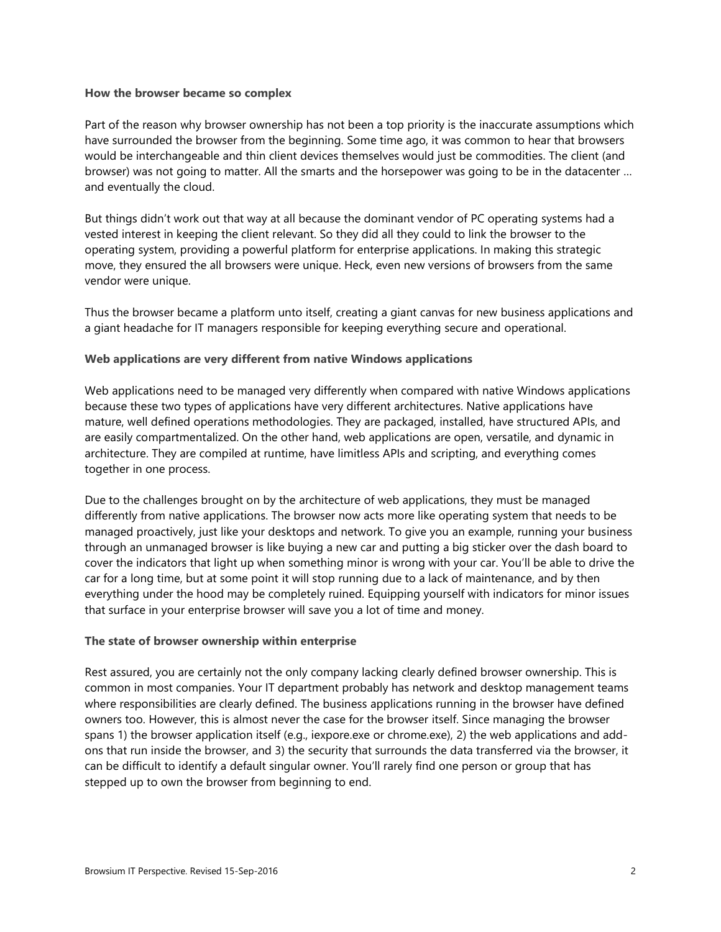#### **How the browser became so complex**

Part of the reason why browser ownership has not been a top priority is the inaccurate assumptions which have surrounded the browser from the beginning. Some time ago, it was common to hear that browsers would be interchangeable and thin client devices themselves would just be commodities. The client (and browser) was not going to matter. All the smarts and the horsepower was going to be in the datacenter … and eventually the cloud.

But things didn't work out that way at all because the dominant vendor of PC operating systems had a vested interest in keeping the client relevant. So they did all they could to link the browser to the operating system, providing a powerful platform for enterprise applications. In making this strategic move, they ensured the all browsers were unique. Heck, even new versions of browsers from the same vendor were unique.

Thus the browser became a platform unto itself, creating a giant canvas for new business applications and a giant headache for IT managers responsible for keeping everything secure and operational.

## **Web applications are very different from native Windows applications**

Web applications need to be managed very differently when compared with native Windows applications because these two types of applications have very different architectures. Native applications have mature, well defined operations methodologies. They are packaged, installed, have structured APIs, and are easily compartmentalized. On the other hand, web applications are open, versatile, and dynamic in architecture. They are compiled at runtime, have limitless APIs and scripting, and everything comes together in one process.

Due to the challenges brought on by the architecture of web applications, they must be managed differently from native applications. The browser now acts more like operating system that needs to be managed proactively, just like your desktops and network. To give you an example, running your business through an unmanaged browser is like buying a new car and putting a big sticker over the dash board to cover the indicators that light up when something minor is wrong with your car. You'll be able to drive the car for a long time, but at some point it will stop running due to a lack of maintenance, and by then everything under the hood may be completely ruined. Equipping yourself with indicators for minor issues that surface in your enterprise browser will save you a lot of time and money.

#### **The state of browser ownership within enterprise**

Rest assured, you are certainly not the only company lacking clearly defined browser ownership. This is common in most companies. Your IT department probably has network and desktop management teams where responsibilities are clearly defined. The business applications running in the browser have defined owners too. However, this is almost never the case for the browser itself. Since managing the browser spans 1) the browser application itself (e.g., iexpore.exe or chrome.exe), 2) the web applications and addons that run inside the browser, and 3) the security that surrounds the data transferred via the browser, it can be difficult to identify a default singular owner. You'll rarely find one person or group that has stepped up to own the browser from beginning to end.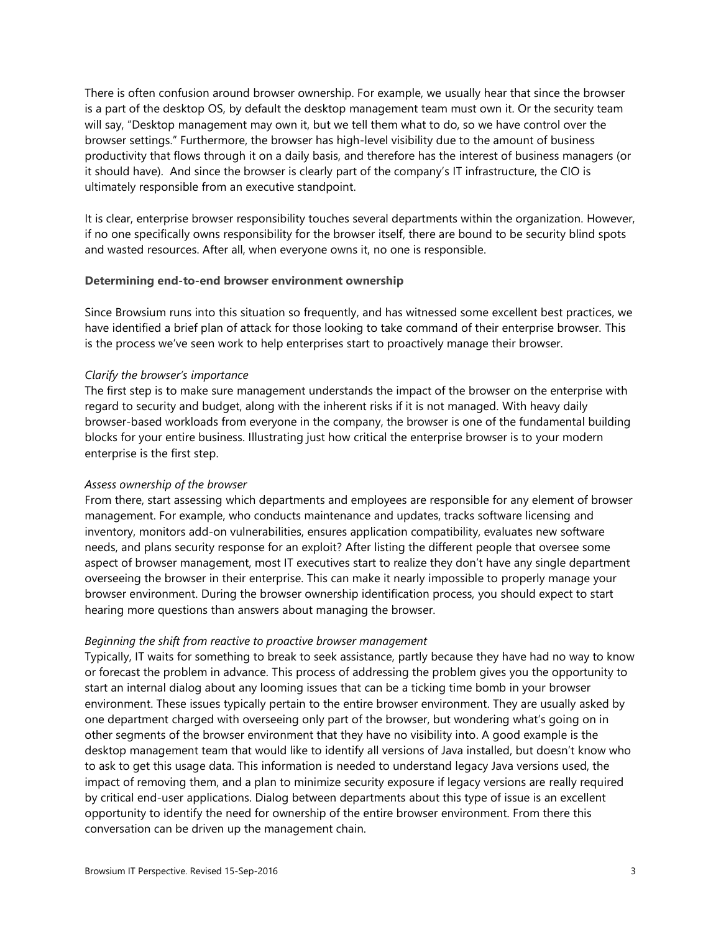There is often confusion around browser ownership. For example, we usually hear that since the browser is a part of the desktop OS, by default the desktop management team must own it. Or the security team will say, "Desktop management may own it, but we tell them what to do, so we have control over the browser settings." Furthermore, the browser has high-level visibility due to the amount of business productivity that flows through it on a daily basis, and therefore has the interest of business managers (or it should have). And since the browser is clearly part of the company's IT infrastructure, the CIO is ultimately responsible from an executive standpoint.

It is clear, enterprise browser responsibility touches several departments within the organization. However, if no one specifically owns responsibility for the browser itself, there are bound to be security blind spots and wasted resources. After all, when everyone owns it, no one is responsible.

#### **Determining end-to-end browser environment ownership**

Since Browsium runs into this situation so frequently, and has witnessed some excellent best practices, we have identified a brief plan of attack for those looking to take command of their enterprise browser. This is the process we've seen work to help enterprises start to proactively manage their browser.

#### *Clarify the browser's importance*

The first step is to make sure management understands the impact of the browser on the enterprise with regard to security and budget, along with the inherent risks if it is not managed. With heavy daily browser-based workloads from everyone in the company, the browser is one of the fundamental building blocks for your entire business. Illustrating just how critical the enterprise browser is to your modern enterprise is the first step.

#### *Assess ownership of the browser*

From there, start assessing which departments and employees are responsible for any element of browser management. For example, who conducts maintenance and updates, tracks software licensing and inventory, monitors add-on vulnerabilities, ensures application compatibility, evaluates new software needs, and plans security response for an exploit? After listing the different people that oversee some aspect of browser management, most IT executives start to realize they don't have any single department overseeing the browser in their enterprise. This can make it nearly impossible to properly manage your browser environment. During the browser ownership identification process, you should expect to start hearing more questions than answers about managing the browser.

# *Beginning the shift from reactive to proactive browser management*

Typically, IT waits for something to break to seek assistance, partly because they have had no way to know or forecast the problem in advance. This process of addressing the problem gives you the opportunity to start an internal dialog about any looming issues that can be a ticking time bomb in your browser environment. These issues typically pertain to the entire browser environment. They are usually asked by one department charged with overseeing only part of the browser, but wondering what's going on in other segments of the browser environment that they have no visibility into. A good example is the desktop management team that would like to identify all versions of Java installed, but doesn't know who to ask to get this usage data. This information is needed to understand legacy Java versions used, the impact of removing them, and a plan to minimize security exposure if legacy versions are really required by critical end-user applications. Dialog between departments about this type of issue is an excellent opportunity to identify the need for ownership of the entire browser environment. From there this conversation can be driven up the management chain.